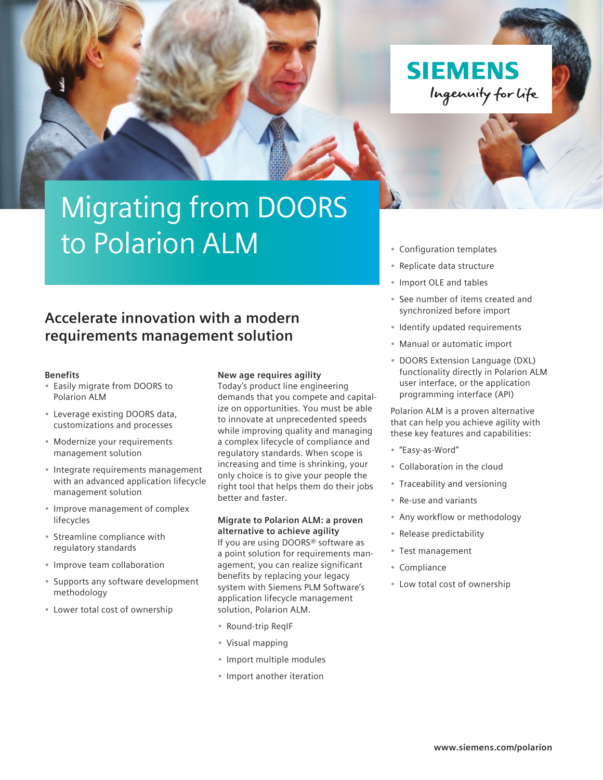**SIEMENS** Ingenuity for life

# Migrating from DOORS to Polarion ALM

### **Accelerate innovation with a modern requirements management solution**

#### **Benefits**

- Easily migrate from DOORS to Polarion ALM
- Leverage existing DOORS data, customizations and processes
- Modernize your requirements management solution
- Integrate requirements management with an advanced application lifecycle management solution
- Improve management of complex lifecycles
- Streamline compliance with regulatory standards
- Improve team collaboration
- Supports any software development methodology
- Lower total cost of ownership

#### **New age requires agility**

Today's product line engineering demands that you compete and capitalize on opportunities. You must be able to innovate at unprecedented speeds while improving quality and managing a complex lifecycle of compliance and regulatory standards. When scope is increasing and time is shrinking, your only choice is to give your people the right tool that helps them do their jobs better and faster.

#### **Migrate to Polarion ALM: a proven alternative to achieve agility**

If you are using DOORS® software as a point solution for requirements management, you can realize significant benefits by replacing your legacy system with Siemens PLM Software's application lifecycle management solution, Polarion ALM.

- Round-trip ReqIF
- Visual mapping
- Import multiple modules
- Import another iteration

#### • Configuration templates

- Replicate data structure
- Import OLE and tables
- See number of items created and synchronized before import
- Identify updated requirements
- Manual or automatic import
- DOORS Extension Language (DXL) functionality directly in Polarion ALM user interface, or the application programming interface (API)

Polarion ALM is a proven alternative that can help you achieve agility with these key features and capabilities:

- "Easy-as-Word"
- Collaboration in the cloud
- Traceability and versioning
- Re-use and variants
- Any workflow or methodology
- Release predictability
- Test management
- Compliance
- Low total cost of ownership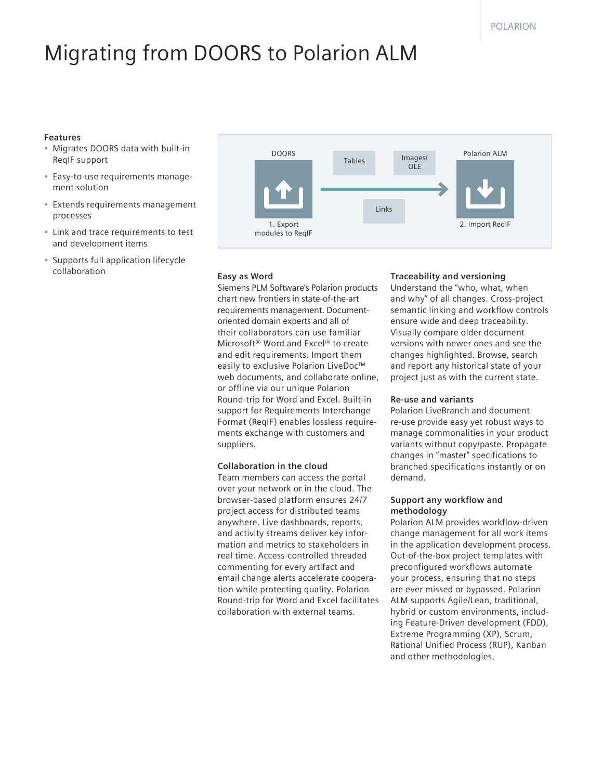## Migrating from DOORS to Polarion ALM

#### **Features**

- Migrates DOORS data with built-in ReqIF support
- Easy-to-use requirements management solution
- Extends requirements management processes
- Link and trace requirements to test and development items
- Supports full application lifecycle collaboration



#### **Easy as Word**

Siemens PLM Software's Polarion products chart new frontiers in state-of-the-art requirements management. Documentoriented domain experts and all of their collaborators can use familiar Microsoft® Word and Excel® to create and edit requirements. Import them easily to exclusive Polarion LiveDoc™ web documents, and collaborate online, or offline via our unique Polarion Round-trip for Word and Excel. Built-in support for Requirements Interchange Format (ReqIF) enables lossless requirements exchange with customers and suppliers.

#### **Collaboration in the cloud**

Team members can access the portal over your network or in the cloud. The browser-based platform ensures 24/7 project access for distributed teams anywhere. Live dashboards, reports, and activity streams deliver key information and metrics to stakeholders in real time. Access-controlled threaded commenting for every artifact and email change alerts accelerate cooperation while protecting quality. Polarion Round-trip for Word and Excel facilitates collaboration with external teams.

#### **Traceability and versioning**

Understand the "who, what, when and why" of all changes. Cross-project semantic linking and workflow controls ensure wide and deep traceability. Visually compare older document versions with newer ones and see the changes highlighted. Browse, search and report any historical state of your project just as with the current state.

#### **Re-use and variants**

Polarion LiveBranch and document re-use provide easy yet robust ways to manage commonalities in your product variants without copy/paste. Propagate changes in "master" specifications to branched specifications instantly or on demand.

#### **Support any workflow and methodology**

Polarion ALM provides workflow-driven change management for all work items in the application development process. Out-of-the-box project templates with preconfigured workflows automate your process, ensuring that no steps are ever missed or bypassed. Polarion ALM supports Agile/Lean, traditional, hybrid or custom environments, including Feature-Driven development (FDD), Extreme Programming (XP), Scrum, Rational Unified Process (RUP), Kanban and other methodologies.